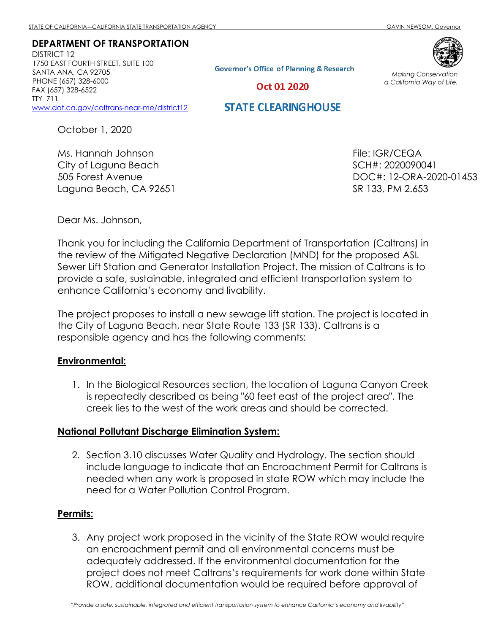DEPARTMENT OF TRANSPORTATION DISTRICT 12 1750 EAST FOURTH STREET, SUITE 100 SANTA ANA, CA 92705 PHONE (657) 328-6000 FAX (657) 328-6522 TTY 711 www.dot.ca.gov/caltrans-near-me/district12

**Governor's Office of Planning & Research** 



Making Conservation a California Way of Life.

Oct 01 2020

## **STATE CLEARING HOUSE**

October 1, 2020

Ms. Hannah Johnson City of Laguna Beach 505 Forest Avenue Laguna Beach, CA 92651 File: IGR/CEQA SCH#: 2020090041 DOC#: 12-ORA-2020-01453 SR 133, PM 2.653

Dear Ms. Johnson,

Thank you for including the California Department of Transportation (Caltrans) in the review of the Mitigated Negative Declaration (MND) for the proposed ASL Sewer Lift Station and Generator Installation Project. The mission of Caltrans is to provide a safe, sustainable, integrated and efficient transportation system to enhance California's economy and livability.

The project proposes to install a new sewage lift station. The project is located in the City of Laguna Beach, near State Route 133 (SR 133). Caltrans is a responsible agency and has the following comments:

## Environmental:

1. In the Biological Resources section, the location of Laguna Canyon Creek is repeatedly described as being "60 feet east of the project area". The creek lies to the west of the work areas and should be corrected.

## National Pollutant Discharge Elimination System:

2. Section 3.10 discusses Water Quality and Hydrology. The section should include language to indicate that an Encroachment Permit for Caltrans is needed when any work is proposed in state ROW which may include the need for a Water Pollution Control Program.

## Permits:

3. Any project work proposed in the vicinity of the State ROW would require an encroachment permit and all environmental concerns must be adequately addressed. If the environmental documentation for the project does not meet Caltrans's requirements for work done within State ROW, additional documentation would be required before approval of